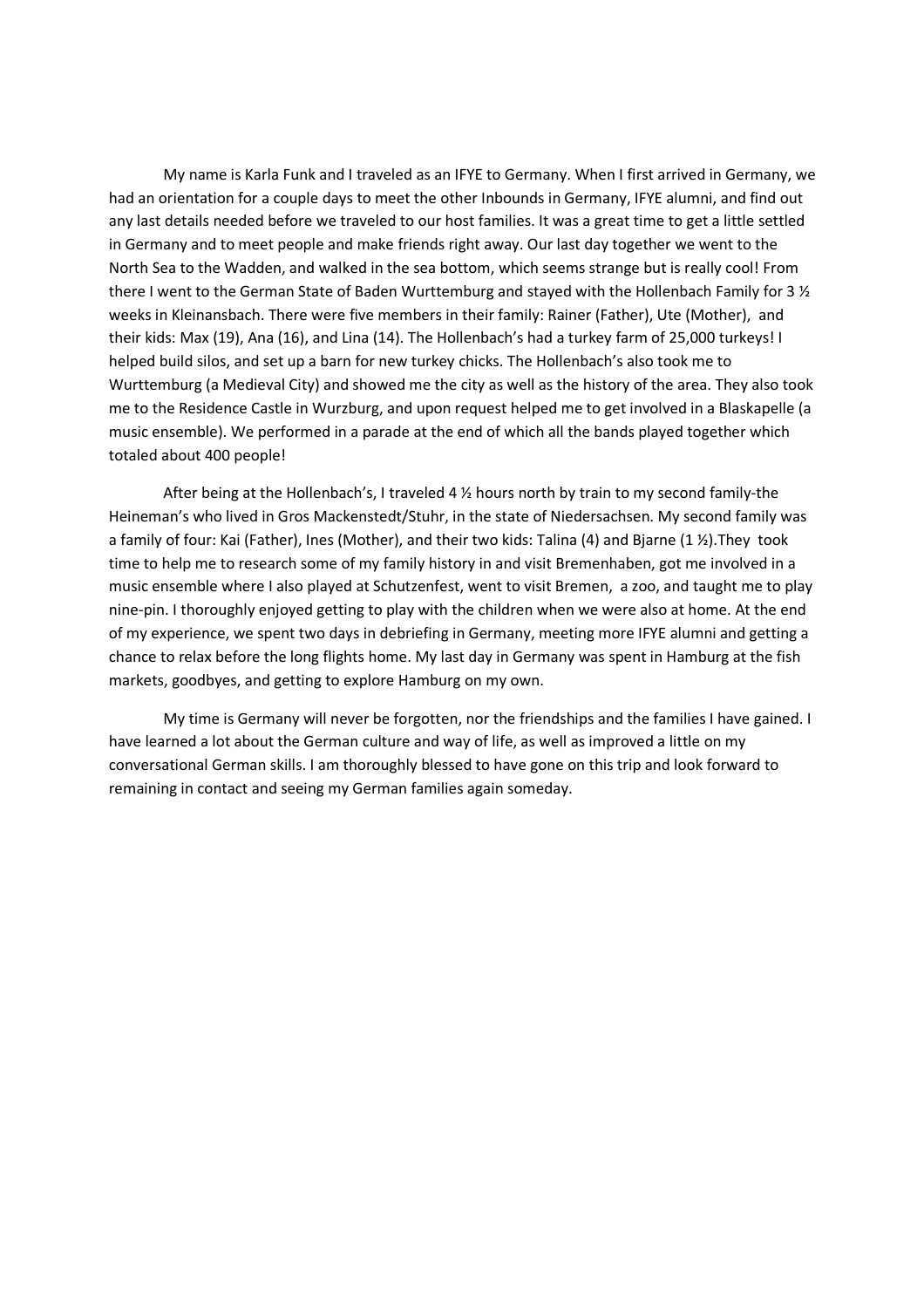My name is Karla Funk and I traveled as an IFYE to Germany. When I first arrived in Germany, we had an orientation for a couple days to meet the other Inbounds in Germany, IFYE alumni, and find out any last details needed before we traveled to our host families. It was a great time to get a little settled in Germany and to meet people and make friends right away. Our last day together we went to the North Sea to the Wadden, and walked in the sea bottom, which seems strange but is really cool! From there I went to the German State of Baden Wurttemburg and stayed with the Hollenbach Family for 3 ½ weeks in Kleinansbach. There were five members in their family: Rainer (Father), Ute (Mother), and their kids: Max (19), Ana (16), and Lina (14). The Hollenbach's had a turkey farm of 25,000 turkeys! I helped build silos, and set up a barn for new turkey chicks. The Hollenbach's also took me to Wurttemburg (a Medieval City) and showed me the city as well as the history of the area. They also took me to the Residence Castle in Wurzburg, and upon request helped me to get involved in a Blaskapelle (a music ensemble). We performed in a parade at the end of which all the bands played together which totaled about 400 people!

After being at the Hollenbach's, I traveled 4 ½ hours north by train to my second family-the Heineman's who lived in Gros Mackenstedt/Stuhr, in the state of Niedersachsen. My second family was a family of four: Kai (Father), Ines (Mother), and their two kids: Talina (4) and Bjarne (1 ½).They took time to help me to research some of my family history in and visit Bremenhaben, got me involved in a music ensemble where I also played at Schutzenfest, went to visit Bremen, a zoo, and taught me to play nine-pin. I thoroughly enjoyed getting to play with the children when we were also at home. At the end of my experience, we spent two days in debriefing in Germany, meeting more IFYE alumni and getting a chance to relax before the long flights home. My last day in Germany was spent in Hamburg at the fish markets, goodbyes, and getting to explore Hamburg on my own.

My time is Germany will never be forgotten, nor the friendships and the families I have gained. I have learned a lot about the German culture and way of life, as well as improved a little on my conversational German skills. I am thoroughly blessed to have gone on this trip and look forward to remaining in contact and seeing my German families again someday.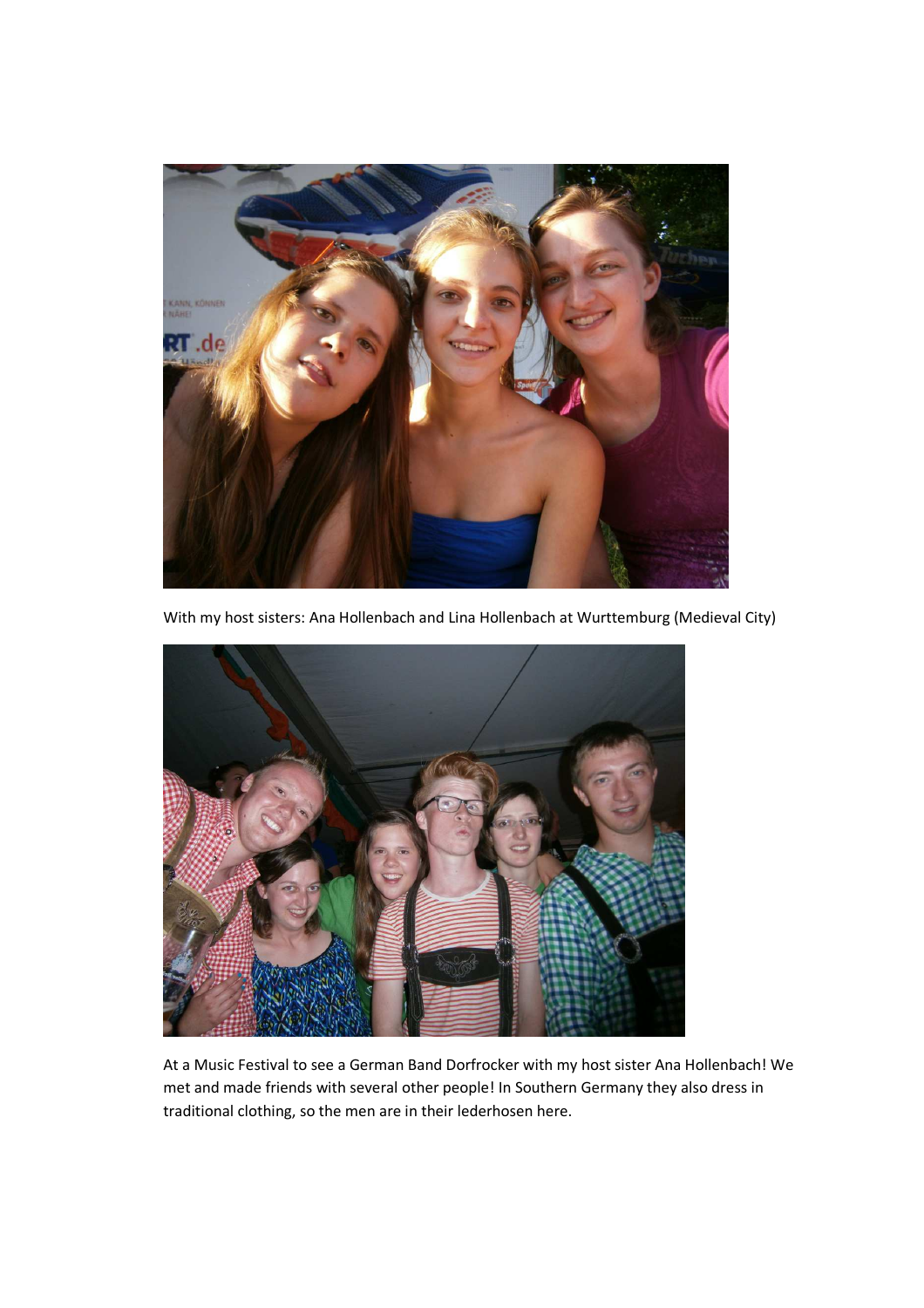

With my host sisters: Ana Hollenbach and Lina Hollenbach at Wurttemburg (Medieval City)



At a Music Festival to see a German Band Dorfrocker with my host sister Ana Hollenbach! We met and made friends with several other people! In Southern Germany they also dress in traditional clothing, so the men are in their lederhosen here.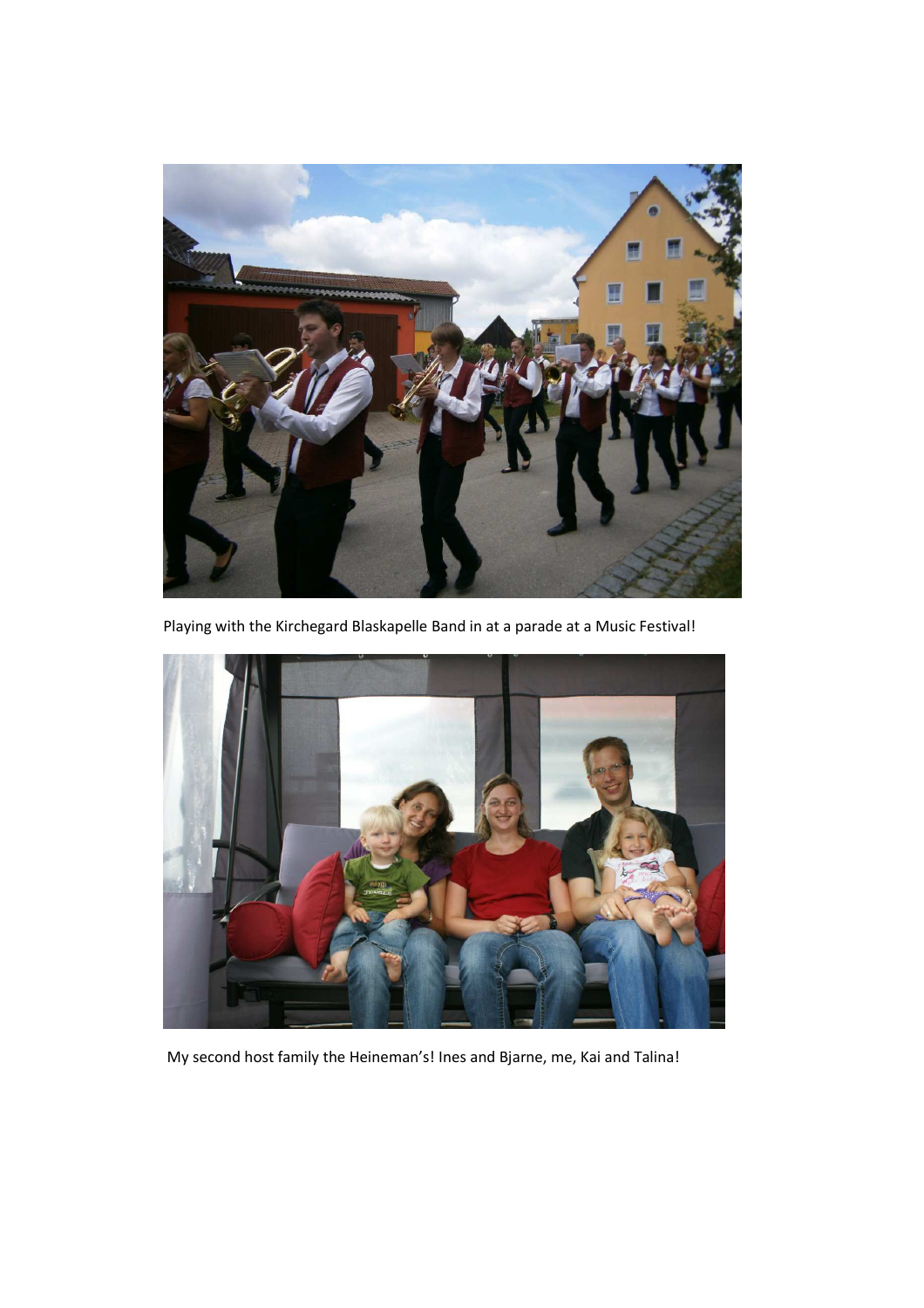

Playing with the Kirchegard Blaskapelle Band in at a parade at a Music Festival!



My second host family the Heineman's! Ines and Bjarne, me, Kai and Talina!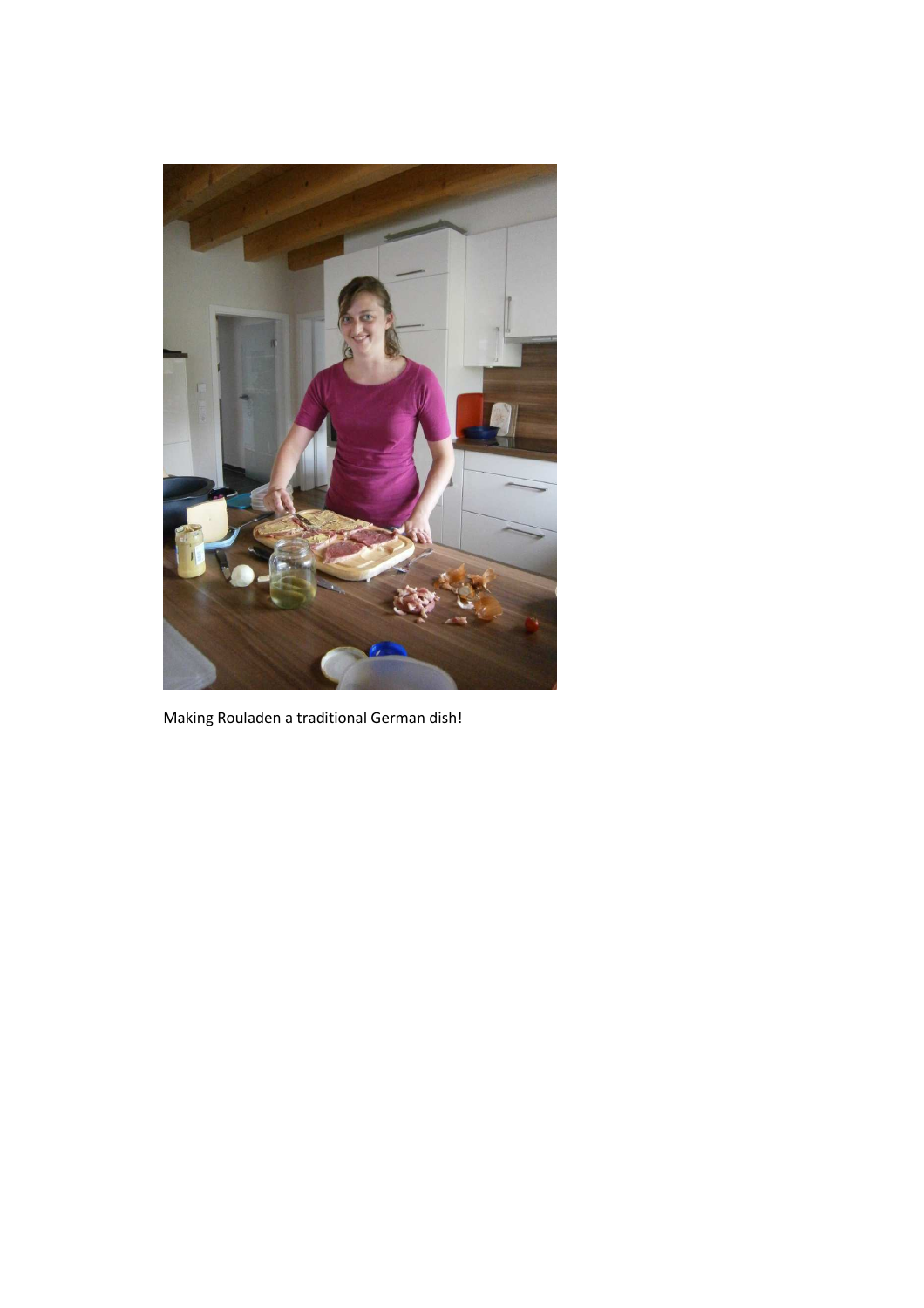

Making Rouladen a traditional German dish!